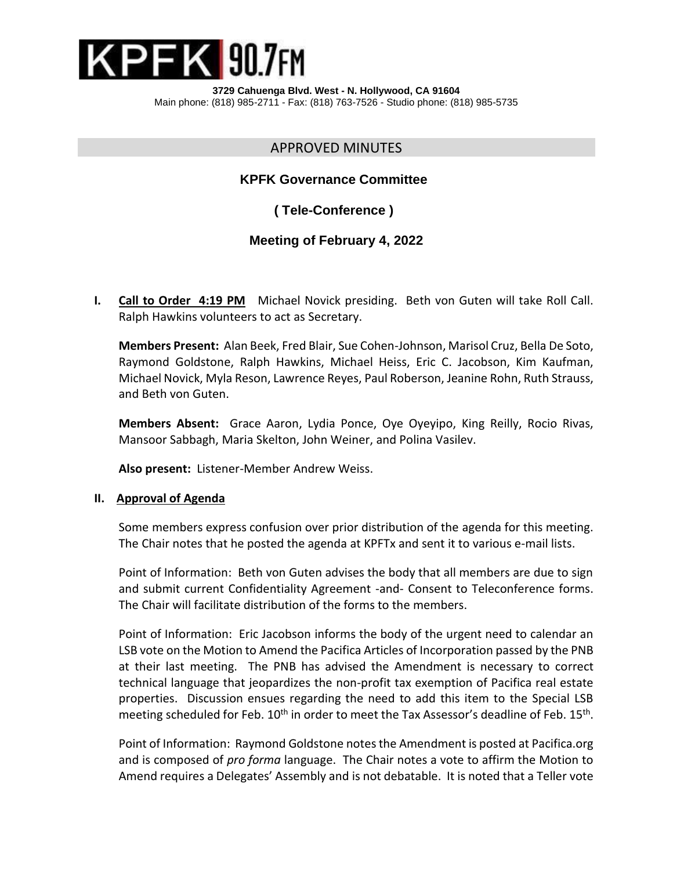

**3729 Cahuenga Blvd. West - N. Hollywood, CA 91604** Main phone: (818) 985-2711 - Fax: (818) 763-7526 - Studio phone: (818) 985-5735

# APPROVED MINUTES

## **KPFK Governance Committee**

 **( Tele-Conference )**

# **Meeting of February 4, 2022**

 **I. Call to Order 4:19 PM** Michael Novick presiding. Beth von Guten will take Roll Call. Ralph Hawkins volunteers to act as Secretary.

**Members Present:** Alan Beek, Fred Blair, Sue Cohen-Johnson, Marisol Cruz, Bella De Soto, Raymond Goldstone, Ralph Hawkins, Michael Heiss, Eric C. Jacobson, Kim Kaufman, Michael Novick, Myla Reson, Lawrence Reyes, Paul Roberson, Jeanine Rohn, Ruth Strauss, and Beth von Guten.

**Members Absent:** Grace Aaron, Lydia Ponce, Oye Oyeyipo, King Reilly, Rocio Rivas, Mansoor Sabbagh, Maria Skelton, John Weiner, and Polina Vasilev.

**Also present:** Listener-Member Andrew Weiss.

#### **II. Approval of Agenda**

Some members express confusion over prior distribution of the agenda for this meeting. The Chair notes that he posted the agenda at KPFTx and sent it to various e-mail lists.

Point of Information: Beth von Guten advises the body that all members are due to sign and submit current Confidentiality Agreement -and- Consent to Teleconference forms. The Chair will facilitate distribution of the forms to the members.

Point of Information: Eric Jacobson informs the body of the urgent need to calendar an LSB vote on the Motion to Amend the Pacifica Articles of Incorporation passed by the PNB at their last meeting. The PNB has advised the Amendment is necessary to correct technical language that jeopardizes the non-profit tax exemption of Pacifica real estate properties. Discussion ensues regarding the need to add this item to the Special LSB meeting scheduled for Feb. 10<sup>th</sup> in order to meet the Tax Assessor's deadline of Feb. 15<sup>th</sup>.

Point of Information: Raymond Goldstone notes the Amendment is posted at Pacifica.org and is composed of *pro forma* language. The Chair notes a vote to affirm the Motion to Amend requires a Delegates' Assembly and is not debatable. It is noted that a Teller vote